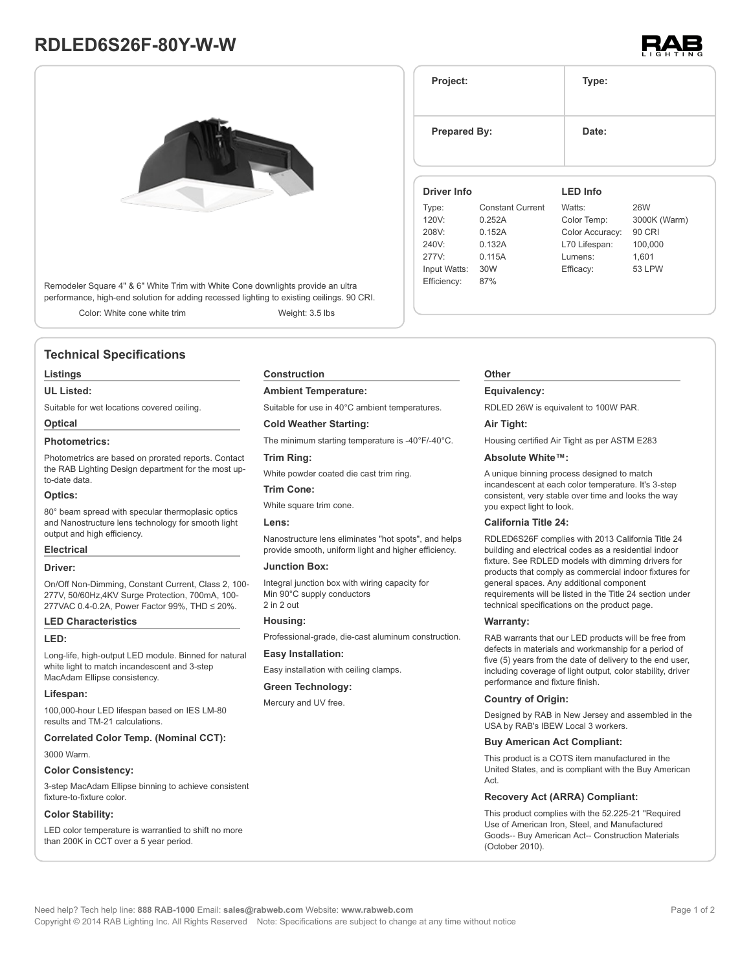# **RDLED6S26F-80Y-W-W**



Remodeler Square 4" & 6" White Trim with White Cone downlights provide an ultra performance, high-end solution for adding recessed lighting to existing ceilings. 90 CRI.

Color: White cone white trim Weight: 3.5 lbs

# **Technical Specifications**

# **Listings**

# **UL Listed:**

Suitable for wet locations covered ceiling.

# **Optical**

# **Photometrics:**

Photometrics are based on prorated reports. Contact the RAB Lighting Design department for the most upto-date data.

# **Optics:**

80° beam spread with specular thermoplasic optics and Nanostructure lens technology for smooth light output and high efficiency.

# **Electrical**

# **Driver:**

On/Off Non-Dimming, Constant Current, Class 2, 100- 277V, 50/60Hz,4KV Surge Protection, 700mA, 100- 277VAC 0.4-0.2A, Power Factor 99%, THD ≤ 20%.

# **LED Characteristics**

#### **LED:**

Long-life, high-output LED module. Binned for natural white light to match incandescent and 3-step MacAdam Ellipse consistency.

#### **Lifespan:**

100,000-hour LED lifespan based on IES LM-80 results and TM-21 calculations.

### **Correlated Color Temp. (Nominal CCT):**

3000 Warm.

# **Color Consistency:**

3-step MacAdam Ellipse binning to achieve consistent fixture-to-fixture color.

# **Color Stability:**

LED color temperature is warrantied to shift no more than 200K in CCT over a 5 year period.

#### **Construction**

## **Ambient Temperature:**

Suitable for use in 40°C ambient temperatures.

# **Cold Weather Starting:**

The minimum starting temperature is -40°F/-40°C.

# **Trim Ring:**

White powder coated die cast trim ring.

# **Trim Cone:**

White square trim cone.

#### **Lens:**

Nanostructure lens eliminates "hot spots", and helps provide smooth, uniform light and higher efficiency.

# **Junction Box:**

Integral junction box with wiring capacity for Min 90°C supply conductors 2 in 2 out

#### **Housing:**

Professional-grade, die-cast aluminum construction.

# **Easy Installation:**

Easy installation with ceiling clamps.

# **Green Technology:**

Mercury and UV free.

# **Project: Type: Prepared By:** Date: **Driver Info** Type: Constant Current 120V: 0.252A **LED Info** Watts: 26W Color Temp: 3000K (Warm)

| 120V:        | 0.252A | Color Temp:     | 3000K (Warm)  |  |
|--------------|--------|-----------------|---------------|--|
| 208V:        | 0.152A | Color Accuracy: | 90 CRI        |  |
| 240V:        | 0.132A | L70 Lifespan:   | 100,000       |  |
| 277V:        | 0.115A | Lumens:         | 1.601         |  |
| Input Watts: | 30W    | Efficacy:       | <b>53 LPW</b> |  |
| Efficiency:  | 87%    |                 |               |  |
|              |        |                 |               |  |

# **Other**

# **Equivalency:**

RDLED 26W is equivalent to 100W PAR.

# **Air Tight:**

Housing certified Air Tight as per ASTM E283

# **Absolute White™:**

A unique binning process designed to match incandescent at each color temperature. It's 3-step consistent, very stable over time and looks the way you expect light to look.

#### **California Title 24:**

RDLED6S26F complies with 2013 California Title 24 building and electrical codes as a residential indoor fixture. See RDLED models with dimming drivers for products that comply as commercial indoor fixtures for general spaces. Any additional component requirements will be listed in the Title 24 section under technical specifications on the product page.

## **Warranty:**

RAB warrants that our LED products will be free from defects in materials and workmanship for a period of five (5) years from the date of delivery to the end user, including coverage of light output, color stability, driver performance and fixture finish.

# **Country of Origin:**

Designed by RAB in New Jersey and assembled in the USA by RAB's IBEW Local 3 workers.

# **Buy American Act Compliant:**

This product is a COTS item manufactured in the United States, and is compliant with the Buy American Act.

# **Recovery Act (ARRA) Compliant:**

This product complies with the 52.225-21 "Required Use of American Iron, Steel, and Manufactured Goods-- Buy American Act-- Construction Materials (October 2010).